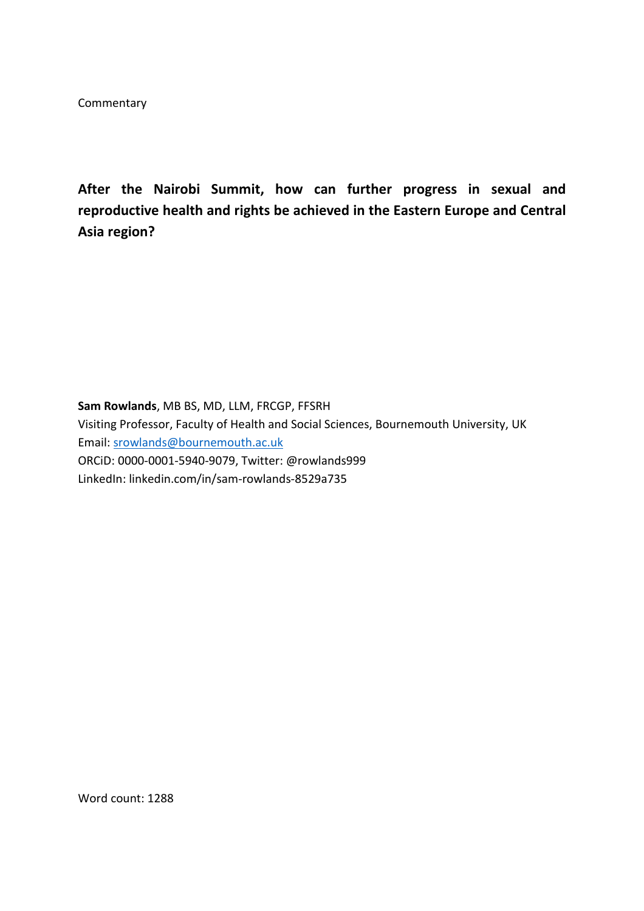**Commentary** 

**After the Nairobi Summit, how can further progress in sexual and reproductive health and rights be achieved in the Eastern Europe and Central Asia region?**

**Sam Rowlands**, MB BS, MD, LLM, FRCGP, FFSRH Visiting Professor, Faculty of Health and Social Sciences, Bournemouth University, UK Email: [srowlands@bournemouth.ac.uk](mailto:srowlands@bournemouth.ac.uk)  ORCiD: 0000-0001-5940-9079, Twitter: @rowlands999 LinkedIn: linkedin.com/in/sam-rowlands-8529a735

Word count: 1288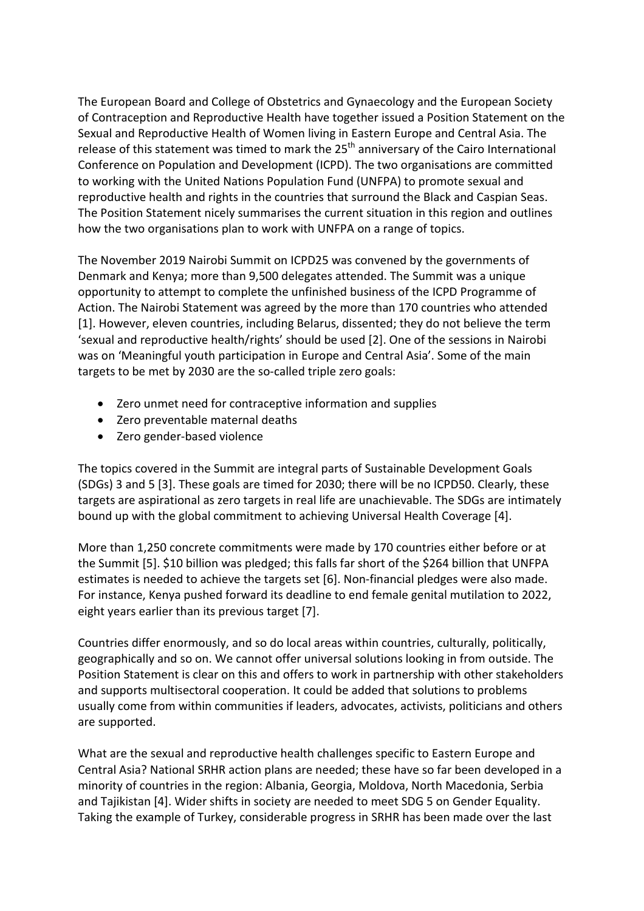The European Board and College of Obstetrics and Gynaecology and the European Society of Contraception and Reproductive Health have together issued a Position Statement on the Sexual and Reproductive Health of Women living in Eastern Europe and Central Asia. The release of this statement was timed to mark the  $25<sup>th</sup>$  anniversary of the Cairo International Conference on Population and Development (ICPD). The two organisations are committed to working with the United Nations Population Fund (UNFPA) to promote sexual and reproductive health and rights in the countries that surround the Black and Caspian Seas. The Position Statement nicely summarises the current situation in this region and outlines how the two organisations plan to work with UNFPA on a range of topics.

The November 2019 Nairobi Summit on ICPD25 was convened by the governments of Denmark and Kenya; more than 9,500 delegates attended. The Summit was a unique opportunity to attempt to complete the unfinished business of the ICPD Programme of Action. The Nairobi Statement was agreed by the more than 170 countries who attended [1]. However, eleven countries, including Belarus, dissented; they do not believe the term 'sexual and reproductive health/rights' should be used [2]. One of the sessions in Nairobi was on 'Meaningful youth participation in Europe and Central Asia'. Some of the main targets to be met by 2030 are the so-called triple zero goals:

- Zero unmet need for contraceptive information and supplies
- Zero preventable maternal deaths
- Zero gender-based violence

The topics covered in the Summit are integral parts of Sustainable Development Goals (SDGs) 3 and 5 [3]. These goals are timed for 2030; there will be no ICPD50. Clearly, these targets are aspirational as zero targets in real life are unachievable. The SDGs are intimately bound up with the global commitment to achieving Universal Health Coverage [4].

More than 1,250 concrete commitments were made by 170 countries either before or at the Summit [5]. \$10 billion was pledged; this falls far short of the \$264 billion that UNFPA estimates is needed to achieve the targets set [6]. Non-financial pledges were also made. For instance, Kenya pushed forward its deadline to end female genital mutilation to 2022, eight years earlier than its previous target [7].

Countries differ enormously, and so do local areas within countries, culturally, politically, geographically and so on. We cannot offer universal solutions looking in from outside. The Position Statement is clear on this and offers to work in partnership with other stakeholders and supports multisectoral cooperation. It could be added that solutions to problems usually come from within communities if leaders, advocates, activists, politicians and others are supported.

What are the sexual and reproductive health challenges specific to Eastern Europe and Central Asia? National SRHR action plans are needed; these have so far been developed in a minority of countries in the region: Albania, Georgia, Moldova, North Macedonia, Serbia and Tajikistan [4]. Wider shifts in society are needed to meet SDG 5 on Gender Equality. Taking the example of Turkey, considerable progress in SRHR has been made over the last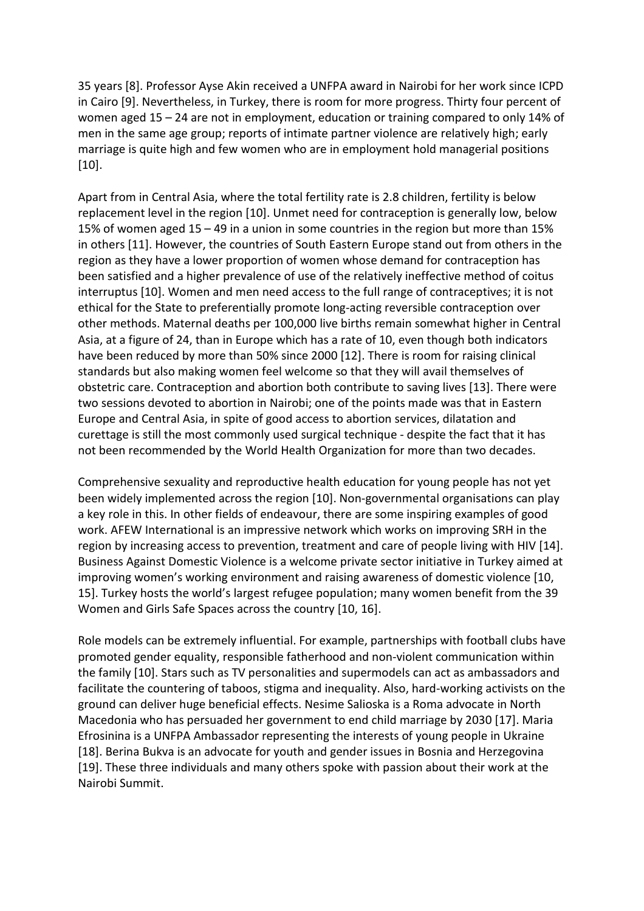35 years [8]. Professor Ayse Akin received a UNFPA award in Nairobi for her work since ICPD in Cairo [9]. Nevertheless, in Turkey, there is room for more progress. Thirty four percent of women aged 15 – 24 are not in employment, education or training compared to only 14% of men in the same age group; reports of intimate partner violence are relatively high; early marriage is quite high and few women who are in employment hold managerial positions [10].

Apart from in Central Asia, where the total fertility rate is 2.8 children, fertility is below replacement level in the region [10]. Unmet need for contraception is generally low, below 15% of women aged 15 – 49 in a union in some countries in the region but more than 15% in others [11]. However, the countries of South Eastern Europe stand out from others in the region as they have a lower proportion of women whose demand for contraception has been satisfied and a higher prevalence of use of the relatively ineffective method of coitus interruptus [10]. Women and men need access to the full range of contraceptives; it is not ethical for the State to preferentially promote long-acting reversible contraception over other methods. Maternal deaths per 100,000 live births remain somewhat higher in Central Asia, at a figure of 24, than in Europe which has a rate of 10, even though both indicators have been reduced by more than 50% since 2000 [12]. There is room for raising clinical standards but also making women feel welcome so that they will avail themselves of obstetric care. Contraception and abortion both contribute to saving lives [13]. There were two sessions devoted to abortion in Nairobi; one of the points made was that in Eastern Europe and Central Asia, in spite of good access to abortion services, dilatation and curettage is still the most commonly used surgical technique - despite the fact that it has not been recommended by the World Health Organization for more than two decades.

Comprehensive sexuality and reproductive health education for young people has not yet been widely implemented across the region [10]. Non-governmental organisations can play a key role in this. In other fields of endeavour, there are some inspiring examples of good work. AFEW International is an impressive network which works on improving SRH in the region by increasing access to prevention, treatment and care of people living with HIV [14]. Business Against Domestic Violence is a welcome private sector initiative in Turkey aimed at improving women's working environment and raising awareness of domestic violence [10, 15]. Turkey hosts the world's largest refugee population; many women benefit from the 39 Women and Girls Safe Spaces across the country [10, 16].

Role models can be extremely influential. For example, partnerships with football clubs have promoted gender equality, responsible fatherhood and non-violent communication within the family [10]. Stars such as TV personalities and supermodels can act as ambassadors and facilitate the countering of taboos, stigma and inequality. Also, hard-working activists on the ground can deliver huge beneficial effects. Nesime Salioska is a Roma advocate in North Macedonia who has persuaded her government to end child marriage by 2030 [17]. Maria Efrosinina is a UNFPA Ambassador representing the interests of young people in Ukraine [18]. Berina Bukva is an advocate for youth and gender issues in Bosnia and Herzegovina [19]. These three individuals and many others spoke with passion about their work at the Nairobi Summit.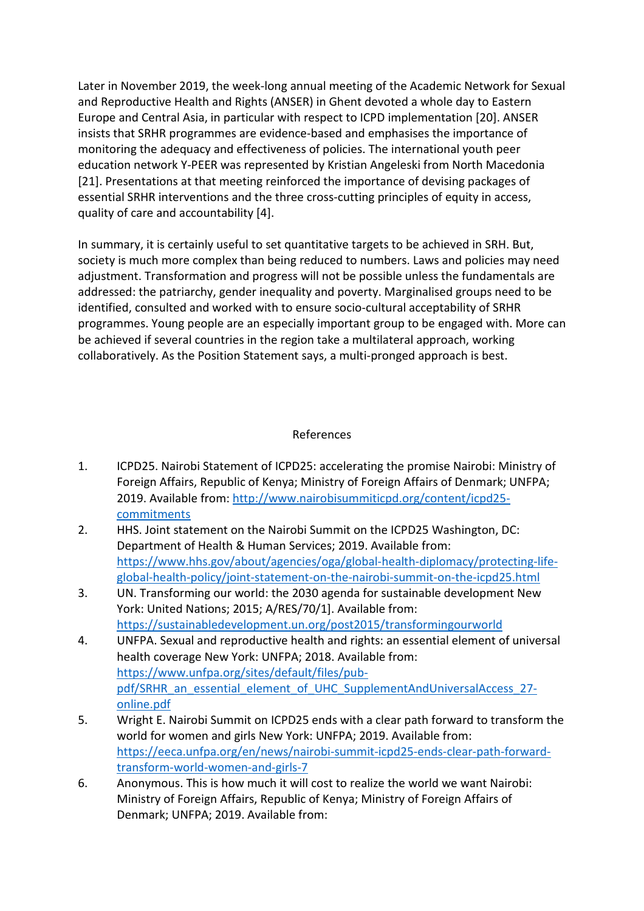Later in November 2019, the week-long annual meeting of the Academic Network for Sexual and Reproductive Health and Rights (ANSER) in Ghent devoted a whole day to Eastern Europe and Central Asia, in particular with respect to ICPD implementation [20]. ANSER insists that SRHR programmes are evidence-based and emphasises the importance of monitoring the adequacy and effectiveness of policies. The international youth peer education network Y-PEER was represented by Kristian Angeleski from North Macedonia [21]. Presentations at that meeting reinforced the importance of devising packages of essential SRHR interventions and the three cross-cutting principles of equity in access, quality of care and accountability [4].

In summary, it is certainly useful to set quantitative targets to be achieved in SRH. But, society is much more complex than being reduced to numbers. Laws and policies may need adjustment. Transformation and progress will not be possible unless the fundamentals are addressed: the patriarchy, gender inequality and poverty. Marginalised groups need to be identified, consulted and worked with to ensure socio-cultural acceptability of SRHR programmes. Young people are an especially important group to be engaged with. More can be achieved if several countries in the region take a multilateral approach, working collaboratively. As the Position Statement says, a multi-pronged approach is best.

## References

- 1. ICPD25. Nairobi Statement of ICPD25: accelerating the promise Nairobi: Ministry of Foreign Affairs, Republic of Kenya; Ministry of Foreign Affairs of Denmark; UNFPA; 2019. Available from: [http://www.nairobisummiticpd.org/content/icpd25](http://www.nairobisummiticpd.org/content/icpd25-commitments) **[commitments](http://www.nairobisummiticpd.org/content/icpd25-commitments)**
- 2. HHS. Joint statement on the Nairobi Summit on the ICPD25 Washington, DC: Department of Health & Human Services; 2019. Available from: [https://www.hhs.gov/about/agencies/oga/global-health-diplomacy/protecting-life](https://www.hhs.gov/about/agencies/oga/global-health-diplomacy/protecting-life-global-health-policy/joint-statement-on-the-nairobi-summit-on-the-icpd25.html)[global-health-policy/joint-statement-on-the-nairobi-summit-on-the-icpd25.html](https://www.hhs.gov/about/agencies/oga/global-health-diplomacy/protecting-life-global-health-policy/joint-statement-on-the-nairobi-summit-on-the-icpd25.html)
- 3. UN. Transforming our world: the 2030 agenda for sustainable development New York: United Nations; 2015; A/RES/70/1]. Available from: <https://sustainabledevelopment.un.org/post2015/transformingourworld>
- 4. UNFPA. Sexual and reproductive health and rights: an essential element of universal health coverage New York: UNFPA; 2018. Available from: [https://www.unfpa.org/sites/default/files/pub](https://www.unfpa.org/sites/default/files/pub-pdf/SRHR_an_essential_element_of_UHC_SupplementAndUniversalAccess_27-online.pdf)[pdf/SRHR\\_an\\_essential\\_element\\_of\\_UHC\\_SupplementAndUniversalAccess\\_27](https://www.unfpa.org/sites/default/files/pub-pdf/SRHR_an_essential_element_of_UHC_SupplementAndUniversalAccess_27-online.pdf) [online.pdf](https://www.unfpa.org/sites/default/files/pub-pdf/SRHR_an_essential_element_of_UHC_SupplementAndUniversalAccess_27-online.pdf)
- 5. Wright E. Nairobi Summit on ICPD25 ends with a clear path forward to transform the world for women and girls New York: UNFPA; 2019. Available from: [https://eeca.unfpa.org/en/news/nairobi-summit-icpd25-ends-clear-path-forward](https://eeca.unfpa.org/en/news/nairobi-summit-icpd25-ends-clear-path-forward-transform-world-women-and-girls-7)[transform-world-women-and-girls-7](https://eeca.unfpa.org/en/news/nairobi-summit-icpd25-ends-clear-path-forward-transform-world-women-and-girls-7)
- 6. Anonymous. This is how much it will cost to realize the world we want Nairobi: Ministry of Foreign Affairs, Republic of Kenya; Ministry of Foreign Affairs of Denmark; UNFPA; 2019. Available from: